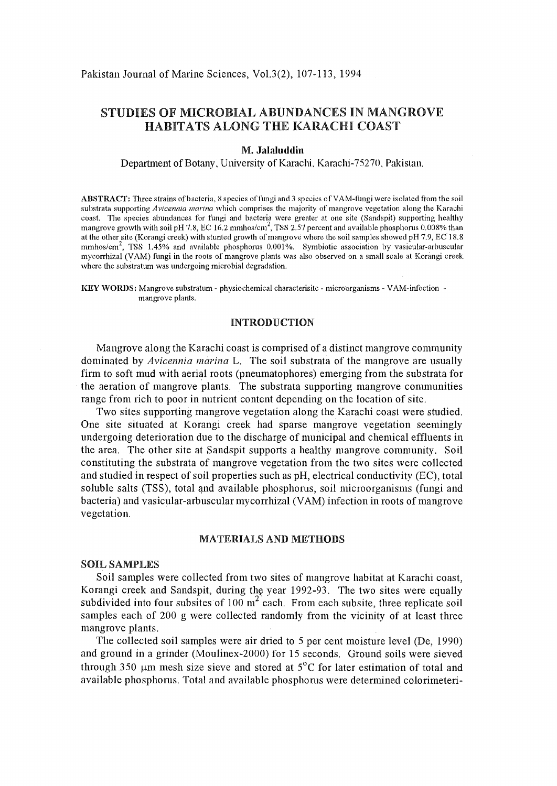# STUDIES OF MICROBIAL ABUNDANCES IN MANGROVE HABITATS ALONG THE KARACHI COAST

## M. **JalaJuddin**

Department of Botany, University of Karachi, Karachi-75270, Pakistan.

ABSTRACT: Three strains of bacteria. 8 species of fungi and 3 species of VAM-fungi were isolated from the soil substrata supporting *Avicennia marina* which comprises the majority of mangrove vegetation along the Karachi coast. The species abundances for thngi and bacteria were greater at one site (Sandspit) supporting healthy mangrove growth with soil pH 7.8, EC 16.2 mmhos/cm<sup>2</sup>, TSS 2.57 percent and available phosphorus 0.008% than at the other site (Korangi creek) with stunted growth of mangrove where the soil samples showed pH 7.9, EC 18.8 mmhos/cm<sup>2</sup>, TSS 1.45% and available phosphorus 0.001%. Symbiotic association by vasicular-arbuscular mycorrhizal (VAM) fungi in the roots of mangrove plants was also observed on a small scale at Korangi creek where the substratum was undergoing microbial degradation.

KEY WORDS: Mangrove substratum- physiochemical characterisitc- microorganisms- YAM-infection mangrove plants.

## INTRODUCTION

Mangrove along the Karachi coast is comprised of a distinct mangrove community dominated by *Avicennia marina* L. The soil substrata of the mangrove are usually firm to soft mud with aerial roots (pneumatophores) emerging from the substrata for the aeration of mangrove plants. The substrata supporting mangrove communities range from rich to poor in nutrient content depending on the location of site.

Two sites supporting mangrove vegetation along the Karachi coast were studied. One site situated at Korangi creek had sparse mangrove vegetation seemingly undergoing deterioration due to the discharge of municipal and chemical effluents in the area. The other site at Sandspit supports a healthy mangrove community. Soil constituting the substrata of mangrove vegetation from the two sites were collected and studied in respect of soil properties such as pH, electrical conductivity (EC), total soluble salts (TSS), total qnd available phosphorus, soil microorganisms (fungi and bacteria) and vasicular-arbuscular mycorrhizal (VAM) infection in roots of mangrove vegetation.

#### MATERIALS AND METHODS

#### SOIL SAMPLES

Soil samples were collected from two sites of mangrove habitat at Karachi coast, Korangi creek and Sandspit, during the year 1992-93. The two sites were equally subdivided into four subsites of  $100 \text{ m}^2$  each. From each subsite, three replicate soil samples each of 200 g were collected randomly from the vicinity of at least three mangrove plants.

The collected soil samples were air dried to 5 per cent moisture level (De, 1990) and ground in a grinder (Moulinex-2000) for 15 seconds. Ground soils were sieved through 350  $\mu$ m mesh size sieve and stored at 5<sup>o</sup>C for later estimation of total and available phosphorus. Total and available phosphorus were determined colorimeteri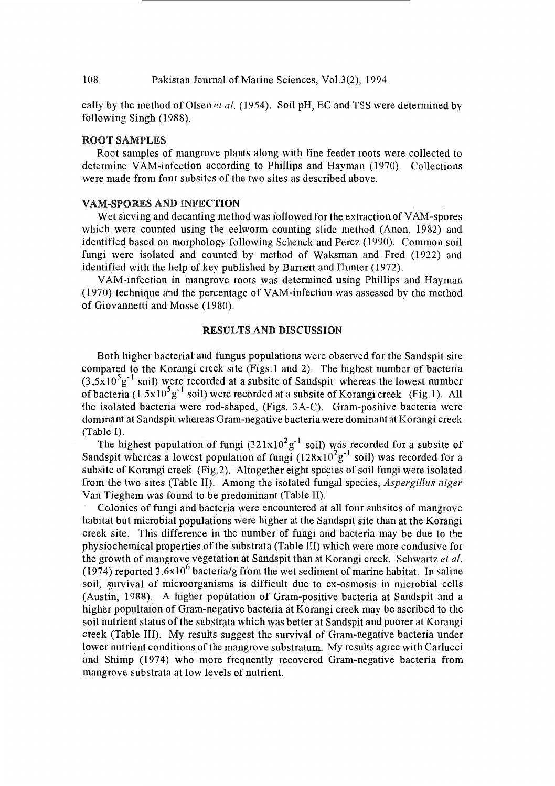cally by the method of Olsen *eta!.* (1954). Soil pH, EC and TSS were determined by following Singh (1988).

## ROOT SAMPLES

Root samples of mangrove plants along with fine feeder roots were collected to determine YAM-infection according to Phillips and Hayman (1970). Collections were made from four subsites of the two sites as described above.

#### **VAM-SPORES AND INFECTION**

Wet sieving and decanting method was followed for the extraction of VAM-spores which were counted using the eelworm counting slide method (Anon, 1982) and identified based on morphology following Schenck and Perez (1990). Common soil fungi were isolated and counted by method of Waksman and Fred (1922) and identified with the help of key published by Barnett and Hunter (1972).

V AM-infection in mangrove roots was determined using Phillips and Hayman (1970) technique and the percentage of YAM-infection was assessed by the method of Giovannetti and Masse (1980).

#### RESULTS AND DISCUSSION

Both higher bacterial and fungus populations were observed for the Sandspit site compared to the Korangi creek site (Figs.l and 2). The highest number of bacteria  $(3.5x10<sup>5</sup>g<sup>-1</sup>$  soil) were recorded at a subsite of Sandspit whereas the lowest number of bacteria (1.5x10<sup>5</sup>g<sup>-1</sup> soil) were recorded at a subsite of Korangi creek (Fig.1). All the isolated bacteria were rod-shaped, (Figs. 3A-C). Gram-positive bacteria were dominant at Sandspit whereas Gram-negative bacteria were dominant at Korangi creek (Table I).

The highest population of fungi  $(321x10^2g^{-1}$  soil) was recorded for a subsite of Sandspit whereas a lowest population of fungi  $(128x10^2g^{-1})$  soil) was recorded for a subsite of Korangi creek (Fig.2). Altogether eight species of soil fungi were isolated from the two sites (Table II). Among the isolated fungal species, *Aspergillus niger*  Van Tieghem was found to be predominant (Table II).

Colonies of fungi and bacteria were encountered at all four sub sites of mangrove habitat but microbial populations were higher at the Sandspit site than at the Korangi creek site. This difference in the number of fungi and bacteria may be due to the physiochemical properties.ofthe'substrata (Table III) which were more condusive for the growth of mangrove vegetation at Sandspit than at Korangi creek. Schwartz *eta/.*  (1974) reported  $3.6x10^6$  bacteria/g from the wet sediment of marine habitat. In saline soil, survival of microorganisms is difficult due to ex-osmosis in microbial cells (Austin, 1988). A higher population of Gram-positive bacteria at Sandspit and a higher popultaion of Gram-negative bacteria at Korangi creek may be ascribed to the soil nutrient status of the substrata which was better at Sandspit and poorer at Korangi creek (Table III). My results suggest the survival of Gram-negative bacteria under lower nutrient conditions of the mangrove substratum. My results agree with Carlucci and Shimp (1974) who more frequently recovered Gram-negative bacteria from mangrove substrata at low levels of nutrient.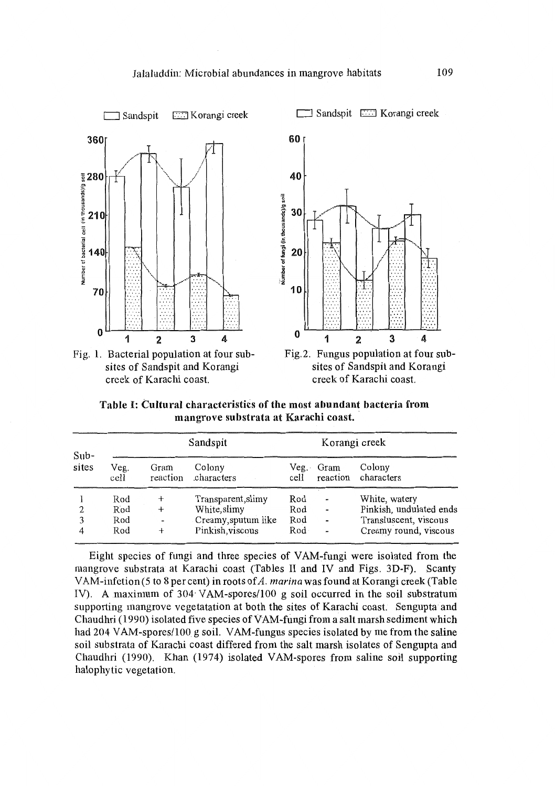# Jalaluddin: Microbial abundances in mangrove habitats 109



Fig. 1. Bacterial population at four subsites of Sandspit and Korangi creek of Karachi coast.



Fig.2. Fungus population at four subsites of Sandspit and Korangi creek of Karachi coast.

Table I: Cultural characteristics of the most abundant bacteria from mangrove substrata at Karachi coast.

| $Sub-$<br>sites |                          | Sandspit                                  |                                                                               | Korangi creek            |                                                                                |                                                                                            |
|-----------------|--------------------------|-------------------------------------------|-------------------------------------------------------------------------------|--------------------------|--------------------------------------------------------------------------------|--------------------------------------------------------------------------------------------|
|                 | Veg.<br>cell             | Gram                                      | Colony<br>reaction characters                                                 | Veg.                     | Gram                                                                           | Colony<br>cell reaction characters                                                         |
| 2               | Rod<br>Rod<br>Rod<br>Rod | $+$<br>$^{+}$<br>$\overline{\phantom{a}}$ | Transparent, slimy<br>White, slimy<br>Creamy, sputum like<br>Pinkish, viscous | Rod<br>Rod<br>Rod<br>Rod | $\overline{a}$<br>$\overline{\phantom{0}}$<br>$\blacksquare$<br>$\blacksquare$ | White, watery<br>Pinkish, undulated ends<br>Transluscent, viscous<br>Creamy round, viscous |

Eight species of fungi and three species of VAM-fungi were isolated from the mangrove substrata at Karachi coast (Tables II and IV and Figs. 3D-F). Scanty VAM-infetion(5 to 8 percent) in roots of *A. marina* was found atKorangi creek (Table IV). A maximum of 304· VAM-spores/100 g soil occurred in the soil substratum supporting mangrove vegetatation at both the sites of Karachi coast. Sengupta and Chaudhri (1990) isolated five species of VAM-fungi from a salt marsh sediment which had 204 VAM-spores/100 g soil. VAM-fungus species isolated by me from the saline soil substrata of Karachi coast differed from the salt marsh isolates of Sengupta and Chaudhri (1990). Khan (1974) isolated YAM-spores from saline soil supporting halophytic vegetation.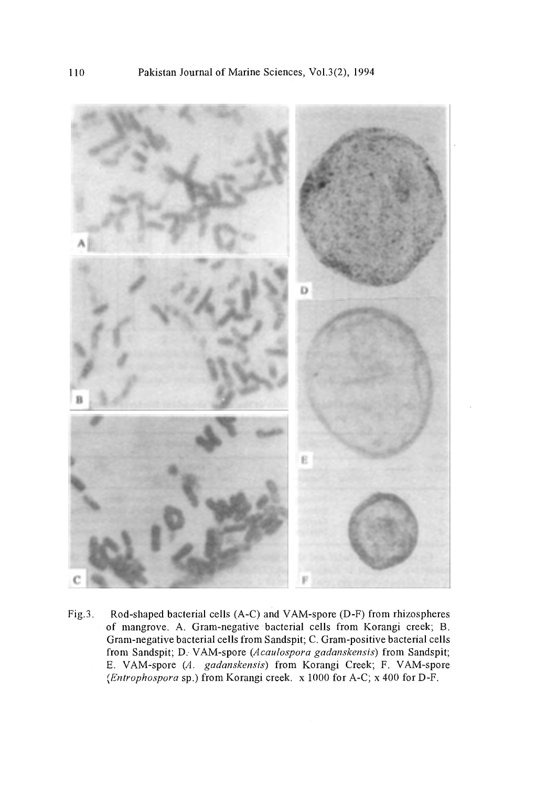

Fig.3. Rod-shaped bacterial cells (A-C) and VAM-spore (D-F) from rhizospheres of mangrove. A. Gram-negative bacterial cells from Korangi creek; B. Gram-negative bacterial cells from Sandspit; C. Gram-positive bacterial cells from Sandspit; *D:* VAM-spore *(Acaulospora gadanskensis)* from Sandspit; E. VAM-spore (A. *gadanskensis)* from Korangi Creek; F. VAM-spore *(Entrophospora* sp.) from Korangi creek. x 1000 for A-C; x 400 forD-F.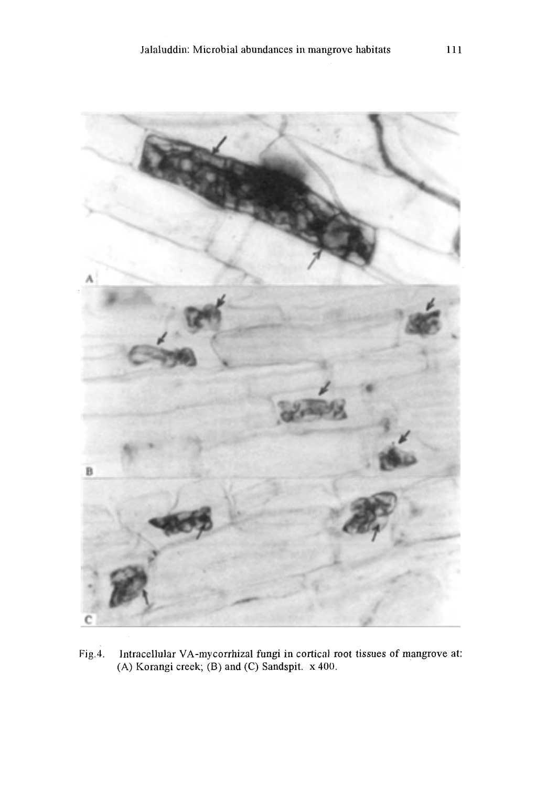

Fig.4. Intracellular VA-mycorrhizal fungi in cortical root tissues of mangrove at: (A) Korangi creek; (B) and (C) Sandspit. x 400.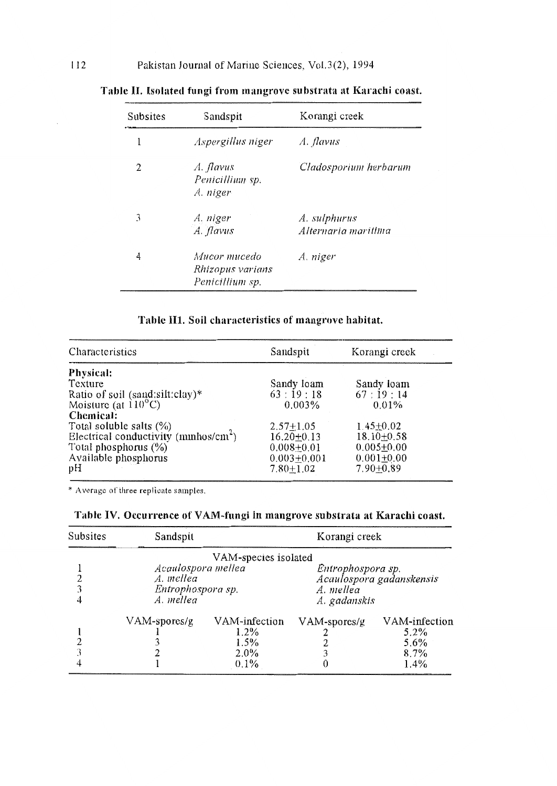| Subsites | Sandspit                                            | Korangi creek                       |  |  |
|----------|-----------------------------------------------------|-------------------------------------|--|--|
|          | Aspergillus niger                                   | A. flavus                           |  |  |
| 2        | A. flavus<br>Penicillium sp.<br>A. niger            | Cladosporium herbarum               |  |  |
| 3        | A. niger<br>A. flavus                               | A. sulphurus<br>Alternaria maritima |  |  |
| 4        | Mucor mucedo<br>Rhizopus varians<br>Penicillium sp. | A. niger                            |  |  |

Table II. Isolated fungi from mangrove substrata at Karachi coast.

# Tahlc 111. Soil characteristics of mangrove habitat.

| Characteristics                                                  | Sandspit         | Korangi creek    |  |
|------------------------------------------------------------------|------------------|------------------|--|
| Physical:                                                        |                  |                  |  |
| Texture                                                          | Sandy loam       | Sandy loam       |  |
|                                                                  | 63:19:18         | 67:19:14         |  |
| Ratio of soil (sand:silt:clay)*<br>Moisture (at $110^{\circ}$ C) | 0.003%           | $0.01\%$         |  |
| Chemical:                                                        |                  |                  |  |
| Total soluble salts $(\% )$                                      | $2.57 + 1.05$    | $1.45 \pm 0.02$  |  |
| Electrical conductivity ( $\text{mmhos/cm}^2$ )                  | $16,20+0.13$     | $18.10 \pm 0.58$ |  |
| Total phosphorus $(\%)$                                          | $0.008 \pm 0.01$ | $0.005 + 0.00$   |  |
| Available phosphorus                                             | $0.003 + 0.001$  | $0.001 + 0.00$   |  |
| pH                                                               | $7.80 + 1.02$    | $7.90 + 0.89$    |  |

\* Awragc of three replioate samples.

| Subsites             | Sandspit           |               | Korangi creek            |               |  |  |  |  |  |  |
|----------------------|--------------------|---------------|--------------------------|---------------|--|--|--|--|--|--|
| VAM-species isolated |                    |               |                          |               |  |  |  |  |  |  |
|                      | Acaulospora mellea |               | Entrophospora sp.        |               |  |  |  |  |  |  |
|                      | A. mellea          |               | Acaulospora gadanskensis |               |  |  |  |  |  |  |
|                      | Entrophospora sp.  |               | A. mellea                |               |  |  |  |  |  |  |
| 4                    | A. mellea          |               | A. gadanskis             |               |  |  |  |  |  |  |
|                      | VAM-spores/g       | VAM-infection | VAM-spores/g             | VAM-infection |  |  |  |  |  |  |
|                      |                    | $1.2\%$       |                          | $5.2\%$       |  |  |  |  |  |  |
|                      |                    | 1.5%          |                          | $5.6\%$       |  |  |  |  |  |  |
|                      |                    | $2.0\%$       |                          | 8.7%          |  |  |  |  |  |  |
|                      |                    | $0.1\%$       |                          | $1.4\%$       |  |  |  |  |  |  |